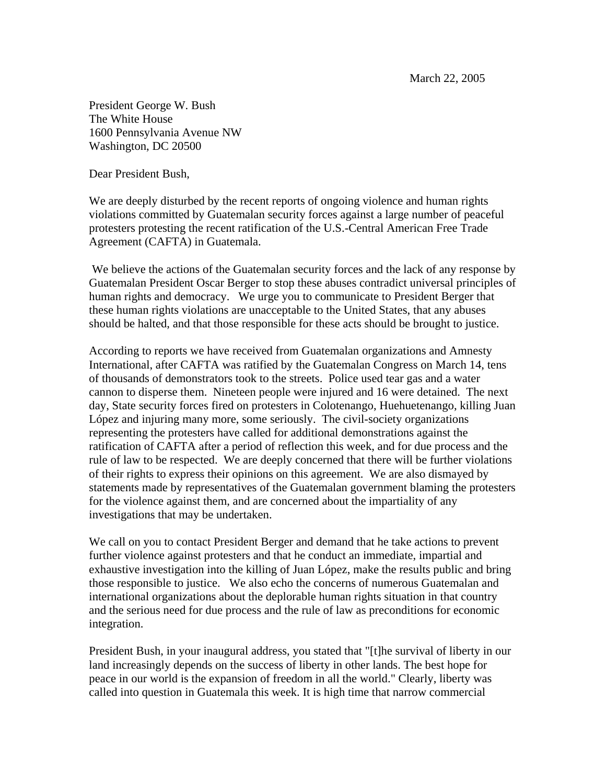March 22, 2005

President George W. Bush The White House 1600 Pennsylvania Avenue NW Washington, DC 20500

Dear President Bush,

We are deeply disturbed by the recent reports of ongoing violence and human rights violations committed by Guatemalan security forces against a large number of peaceful protesters protesting the recent ratification of the U.S.-Central American Free Trade Agreement (CAFTA) in Guatemala.

 We believe the actions of the Guatemalan security forces and the lack of any response by Guatemalan President Oscar Berger to stop these abuses contradict universal principles of human rights and democracy. We urge you to communicate to President Berger that these human rights violations are unacceptable to the United States, that any abuses should be halted, and that those responsible for these acts should be brought to justice.

According to reports we have received from Guatemalan organizations and Amnesty International, after CAFTA was ratified by the Guatemalan Congress on March 14, tens of thousands of demonstrators took to the streets. Police used tear gas and a water cannon to disperse them. Nineteen people were injured and 16 were detained. The next day, State security forces fired on protesters in Colotenango, Huehuetenango, killing Juan López and injuring many more, some seriously. The civil-society organizations representing the protesters have called for additional demonstrations against the ratification of CAFTA after a period of reflection this week, and for due process and the rule of law to be respected. We are deeply concerned that there will be further violations of their rights to express their opinions on this agreement. We are also dismayed by statements made by representatives of the Guatemalan government blaming the protesters for the violence against them, and are concerned about the impartiality of any investigations that may be undertaken.

We call on you to contact President Berger and demand that he take actions to prevent further violence against protesters and that he conduct an immediate, impartial and exhaustive investigation into the killing of Juan López, make the results public and bring those responsible to justice. We also echo the concerns of numerous Guatemalan and international organizations about the deplorable human rights situation in that country and the serious need for due process and the rule of law as preconditions for economic integration.

President Bush, in your inaugural address, you stated that "[t]he survival of liberty in our land increasingly depends on the success of liberty in other lands. The best hope for peace in our world is the expansion of freedom in all the world." Clearly, liberty was called into question in Guatemala this week. It is high time that narrow commercial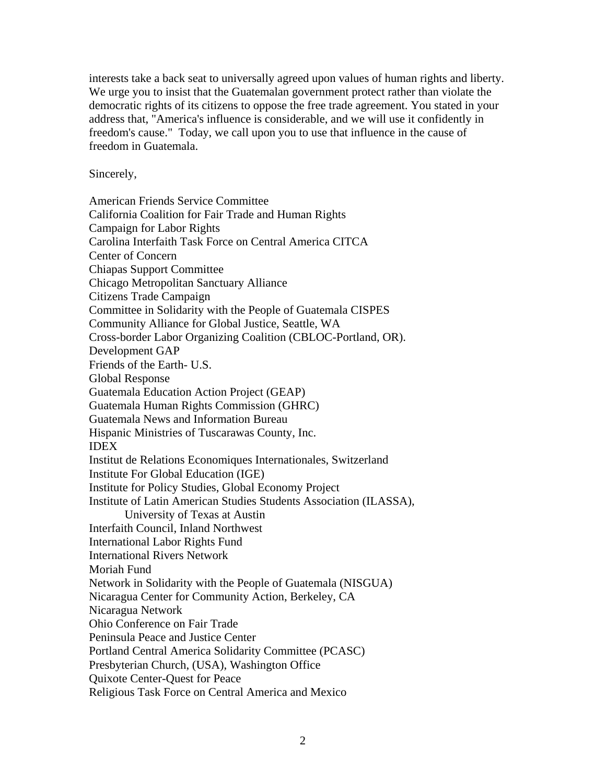interests take a back seat to universally agreed upon values of human rights and liberty. We urge you to insist that the Guatemalan government protect rather than violate the democratic rights of its citizens to oppose the free trade agreement. You stated in your address that, "America's influence is considerable, and we will use it confidently in freedom's cause." Today, we call upon you to use that influence in the cause of freedom in Guatemala.

Sincerely,

American Friends Service Committee California Coalition for Fair Trade and Human Rights Campaign for Labor Rights Carolina Interfaith Task Force on Central America CITCA Center of Concern Chiapas Support Committee Chicago Metropolitan Sanctuary Alliance Citizens Trade Campaign Committee in Solidarity with the People of Guatemala CISPES Community Alliance for Global Justice, Seattle, WA Cross-border Labor Organizing Coalition (CBLOC-Portland, OR). Development GAP Friends of the Earth- U.S. Global Response Guatemala Education Action Project (GEAP) Guatemala Human Rights Commission (GHRC) Guatemala News and Information Bureau Hispanic Ministries of Tuscarawas County, Inc. IDEX Institut de Relations Economiques Internationales, Switzerland Institute For Global Education (IGE) Institute for Policy Studies, Global Economy Project Institute of Latin American Studies Students Association (ILASSA), University of Texas at Austin Interfaith Council, Inland Northwest International Labor Rights Fund International Rivers Network Moriah Fund Network in Solidarity with the People of Guatemala (NISGUA) Nicaragua Center for Community Action, Berkeley, CA Nicaragua Network Ohio Conference on Fair Trade Peninsula Peace and Justice Center Portland Central America Solidarity Committee (PCASC) Presbyterian Church, (USA), Washington Office Quixote Center-Quest for Peace Religious Task Force on Central America and Mexico